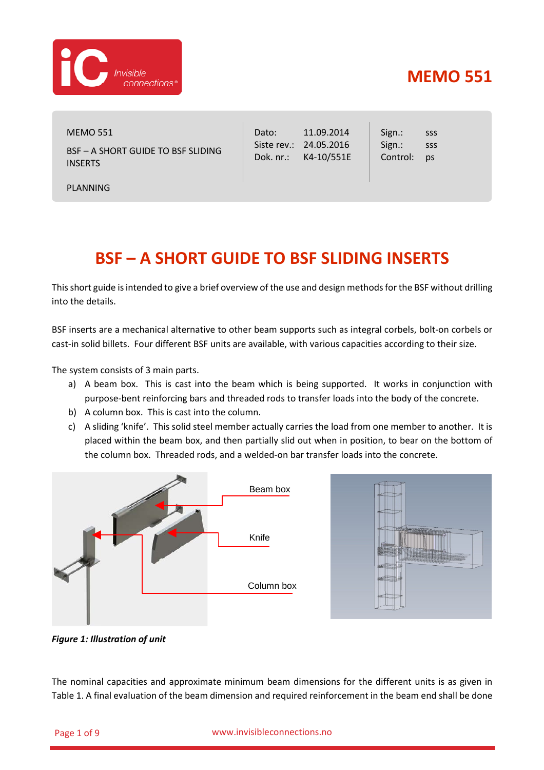

MEMO 551 BSF – A SHORT GUIDE TO BSF SLIDING INSERTS

PLANNING

Dato: Siste rev.: 24.05.2016 Dok. nr.: K4-10/551E 11.09.2014 Sign.: Sign.: Control: sss sss ps

# **BSF – A SHORT GUIDE TO BSF SLIDING INSERTS**

This short guide is intended to give a brief overview of the use and design methods for the BSF without drilling into the details.

BSF inserts are a mechanical alternative to other beam supports such as integral corbels, bolt-on corbels or cast-in solid billets. Four different BSF units are available, with various capacities according to their size.

The system consists of 3 main parts.

- a) A beam box. This is cast into the beam which is being supported. It works in conjunction with purpose-bent reinforcing bars and threaded rods to transfer loads into the body of the concrete.
- b) A column box. This is cast into the column.
- c) A sliding 'knife'. This solid steel member actually carries the load from one member to another. It is placed within the beam box, and then partially slid out when in position, to bear on the bottom of the column box. Threaded rods, and a welded-on bar transfer loads into the concrete.



*Figure 1: Illustration of unit*

The nominal capacities and approximate minimum beam dimensions for the different units is as given in [Table 1.](#page-1-0) A final evaluation of the beam dimension and required reinforcement in the beam end shall be done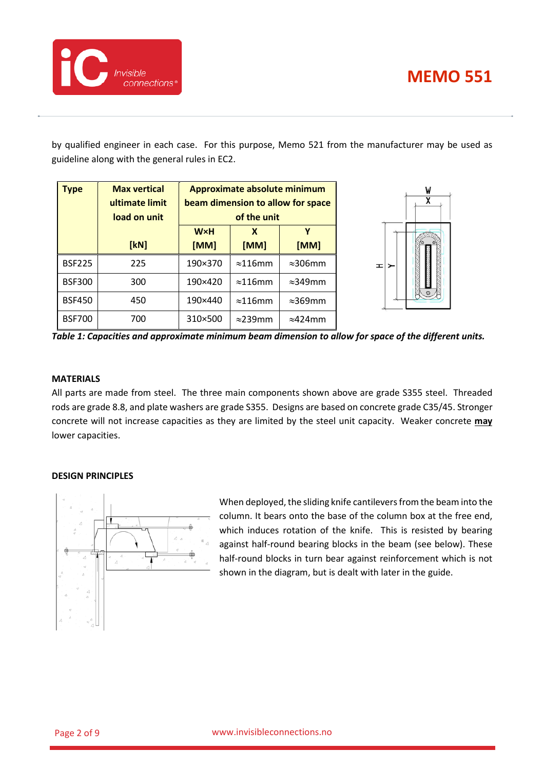

by qualified engineer in each case. For this purpose, Memo 521 from the manufacturer may be used as guideline along with the general rules in EC2.

| <b>Type</b>   | <b>Max vertical</b> |            | Approximate absolute minimum |                                   | W  |
|---------------|---------------------|------------|------------------------------|-----------------------------------|----|
|               | ultimate limit      |            |                              | beam dimension to allow for space | χ  |
|               | load on unit        |            | of the unit                  |                                   |    |
|               |                     | <b>W×H</b> | X                            |                                   |    |
|               | [kN]                | [MM]       | [MM]                         | [MM]                              |    |
| <b>BSF225</b> | 225                 | 190×370    | $\approx$ 116mm              | $\approx$ 306mm                   | ≖⊵ |
| <b>BSF300</b> | 300                 | 190×420    | $\approx$ 116mm              | $\approx$ 349mm                   |    |
| <b>BSF450</b> | 450                 | 190×440    | $\approx$ 116mm              | $\approx$ 369mm                   |    |
| <b>BSF700</b> | 700                 | 310×500    | $\approx$ 239mm              | $\approx$ 424mm                   |    |

<span id="page-1-0"></span>*Table 1: Capacities and approximate minimum beam dimension to allow for space of the different units.*

### **MATERIALS**

All parts are made from steel. The three main components shown above are grade S355 steel. Threaded rods are grade 8.8, and plate washers are grade S355. Designs are based on concrete grade C35/45. Stronger concrete will not increase capacities as they are limited by the steel unit capacity. Weaker concrete **may** lower capacities.

## **DESIGN PRINCIPLES**



When deployed, the sliding knife cantilevers from the beam into the column. It bears onto the base of the column box at the free end, which induces rotation of the knife. This is resisted by bearing against half-round bearing blocks in the beam (see below). These half-round blocks in turn bear against reinforcement which is not shown in the diagram, but is dealt with later in the guide.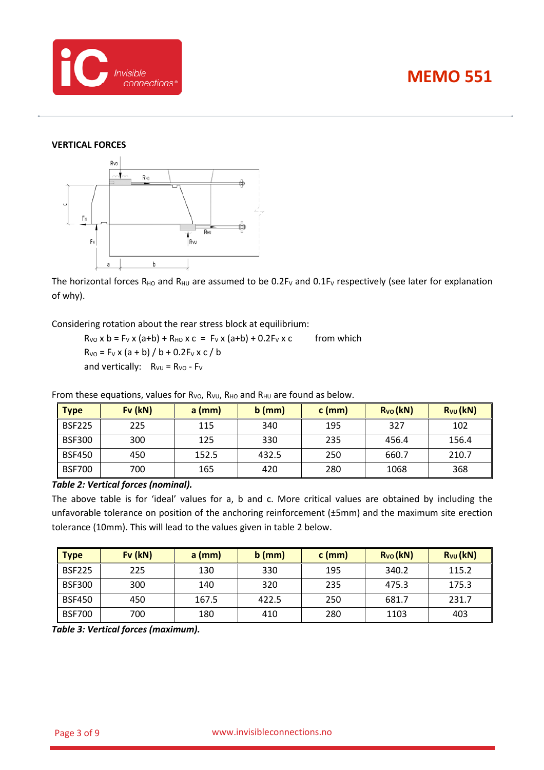



### **VERTICAL FORCES**



The horizontal forces  $R_{HO}$  and  $R_{HU}$  are assumed to be 0.2F<sub>V</sub> and 0.1F<sub>V</sub> respectively (see later for explanation of why).

Considering rotation about the rear stress block at equilibrium:

 $R_{V0}$  x b = F<sub>V</sub> x (a+b) +  $R_{HO}$  x c = F<sub>V</sub> x (a+b) + 0.2F<sub>V</sub> x c from which  $R_{VO} = F_V x (a + b) / b + 0.2F_V x c / b$ and vertically:  $R_{VU} = R_{VO} - F_{V}$ 

**Type Fv (kN) a (mm) b (mm) c (mm) RVO (kN) RVU (kN)** BSF225 | 225 | 115 | 340 | 195 | 327 | 102 BSF300 | 300 | 125 | 330 | 235 | 456.4 | 156.4 BSF450 | 450 | 152.5 | 432.5 | 250 | 660.7 | 210.7 BSF700 | 700 | 165 | 420 | 280 | 1068 | 368

From these equations, values for  $R_{VO}$ ,  $R_{VO}$ ,  $R_{HO}$  and  $R_{HU}$  are found as below.

### *Table 2: Vertical forces (nominal).*

The above table is for 'ideal' values for a, b and c. More critical values are obtained by including the unfavorable tolerance on position of the anchoring reinforcement (±5mm) and the maximum site erection tolerance (10mm). This will lead to the values given in table 2 below.

| <b>Type</b>   | $Fv$ ( $kN$ ) | $a$ (mm) | $b$ (mm) | $c$ (mm) | $R_{VO}$ (kN) | $R_{VU}$ (kN) |
|---------------|---------------|----------|----------|----------|---------------|---------------|
| <b>BSF225</b> | 225           | 130      | 330      | 195      | 340.2         | 115.2         |
| <b>BSF300</b> | 300           | 140      | 320      | 235      | 475.3         | 175.3         |
| <b>BSF450</b> | 450           | 167.5    | 422.5    | 250      | 681.7         | 231.7         |
| <b>BSF700</b> | 700           | 180      | 410      | 280      | 1103          | 403           |

<span id="page-2-0"></span>*Table 3: Vertical forces (maximum).*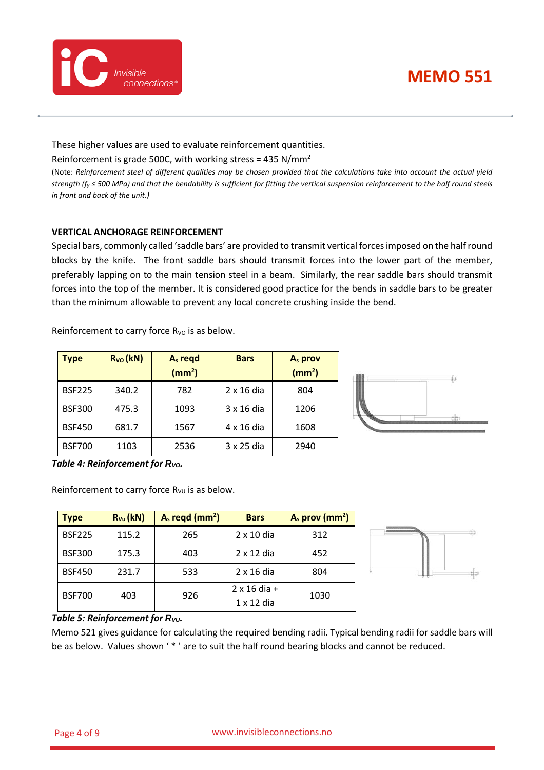

These higher values are used to evaluate reinforcement quantities.

Reinforcement is grade 500C, with working stress = 435 N/mm<sup>2</sup>

(Note: *Reinforcement steel of different qualities may be chosen provided that the calculations take into account the actual yield strength (fy ≤ 500 MPa) and that the bendability is sufficient for fitting the vertical suspension reinforcement to the half round steels in front and back of the unit.)*

## **VERTICAL ANCHORAGE REINFORCEMENT**

Special bars, commonly called 'saddle bars' are provided to transmit vertical forces imposed on the half round blocks by the knife. The front saddle bars should transmit forces into the lower part of the member, preferably lapping on to the main tension steel in a beam. Similarly, the rear saddle bars should transmit forces into the top of the member. It is considered good practice for the bends in saddle bars to be greater than the minimum allowable to prevent any local concrete crushing inside the bend.

Reinforcement to carry force  $R_{VO}$  is as below.

| <b>Type</b>   | $R_{VO}$ (kN) | $As$ regd<br>(mm <sup>2</sup> ) | <b>Bars</b>       | A <sub>s</sub> prov<br>(mm <sup>2</sup> ) | ⊕  |
|---------------|---------------|---------------------------------|-------------------|-------------------------------------------|----|
| <b>BSF225</b> | 340.2         | 782                             | $2 \times 16$ dia | 804                                       |    |
| <b>BSF300</b> | 475.3         | 1093                            | $3 \times 16$ dia | 1206                                      | db |
| <b>BSF450</b> | 681.7         | 1567                            | 4 x 16 dia        | 1608                                      |    |
| <b>BSF700</b> | 1103          | 2536                            | 3 x 25 dia        | 2940                                      |    |

*Table 4: Reinforcement for Rvo.* 

Reinforcement to carry force  $R_{VU}$  is as below.

| Type          | $R_{Vu}$ (kN) | $As$ regd (mm <sup>2</sup> ) | <b>Bars</b>         | $A_s$ prov (mm <sup>2</sup> ) |
|---------------|---------------|------------------------------|---------------------|-------------------------------|
| <b>BSF225</b> | 115.2         | 265                          | $2 \times 10$ dia   | 312                           |
| <b>BSF300</b> | 175.3         | 403                          | $2 \times 12$ dia   | 452                           |
| <b>BSF450</b> | 231.7         | 533                          | $2 \times 16$ dia   | 804                           |
| <b>BSF700</b> | 403           | 926                          | $2 \times 16$ dia + | 1030                          |
|               |               |                              | $1 \times 12$ dia   |                               |



*Table 5: Reinforcement for Rvu.* 

Memo 521 gives guidance for calculating the required bending radii. Typical bending radii for saddle bars will be as below. Values shown '\*' are to suit the half round bearing blocks and cannot be reduced.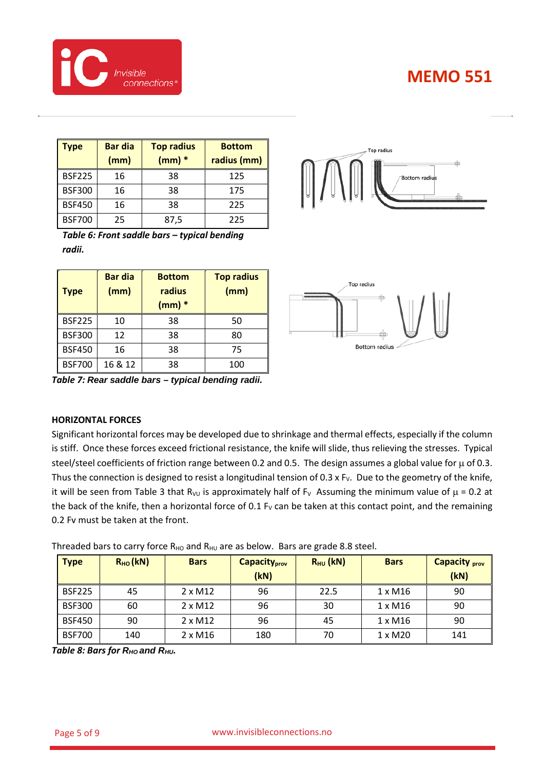

| <b>Type</b>   | <b>Bar dia</b><br>(mm) | <b>Top radius</b><br>$(mm)$ $*$ | <b>Bottom</b><br>radius (mm) |
|---------------|------------------------|---------------------------------|------------------------------|
| <b>BSF225</b> | 16                     | 38                              | 125                          |
| <b>BSF300</b> | 16                     | 38                              | 175                          |
| <b>BSF450</b> | 16                     | 38                              | 225                          |
| <b>BSF700</b> | 25                     | 87,5                            | 225                          |



*Table 6: Front saddle bars – typical bending radii.*

| <b>Type</b>   | <b>Bar dia</b><br>(mm) | <b>Bottom</b><br>radius<br>$(mm)$ $*$ | <b>Top radius</b><br>(mm) |
|---------------|------------------------|---------------------------------------|---------------------------|
| <b>BSF225</b> | 10                     | 38                                    | 50                        |
| <b>BSF300</b> | 12                     | 38                                    | 80                        |
| <b>BSF450</b> | 16                     | 38                                    | 75                        |
| <b>BSF700</b> | 16 & 12                | 38                                    | 100                       |



*Table 7: Rear saddle bars – typical bending radii.*

### **HORIZONTAL FORCES**

Significant horizontal forces may be developed due to shrinkage and thermal effects, especially if the column is stiff. Once these forces exceed frictional resistance, the knife will slide, thus relieving the stresses. Typical steel/steel coefficients of friction range between 0.2 and 0.5. The design assumes a global value for  $\mu$  of 0.3. Thus the connection is designed to resist a longitudinal tension of 0.3 x F<sub>V</sub>. Due to the geometry of the knife, it will be seen from [Table 3](#page-2-0) that R<sub>VU</sub> is approximately half of F<sub>V</sub> Assuming the minimum value of  $\mu$  = 0.2 at the back of the knife, then a horizontal force of 0.1  $F_v$  can be taken at this contact point, and the remaining 0.2 Fv must be taken at the front.

| <b>Type</b>   | $R_{HO}$ (kN) | <b>Bars</b>    | <b>Capacity</b> <sub>prov</sub><br>(kN) | $R_{HU}$ (kN) | <b>Bars</b>    | <b>Capacity prov</b><br>(kN) |
|---------------|---------------|----------------|-----------------------------------------|---------------|----------------|------------------------------|
| <b>BSF225</b> | 45            | $2 \times M12$ | 96                                      | 22.5          | 1 x M16        | 90                           |
| <b>BSF300</b> | 60            | $2 \times M12$ | 96                                      | 30            | 1 x M16        | 90                           |
| <b>BSF450</b> | 90            | $2 \times M12$ | 96                                      | 45            | $1 \times M16$ | 90                           |
| <b>BSF700</b> | 140           | $2 \times M16$ | 180                                     | 70            | 1 x M20        | 141                          |

Threaded bars to carry force  $R_{HO}$  and  $R_{HU}$  are as below. Bars are grade 8.8 steel.

*Table 8: Bars for R<sub>HO</sub> and R<sub>HU</sub>.*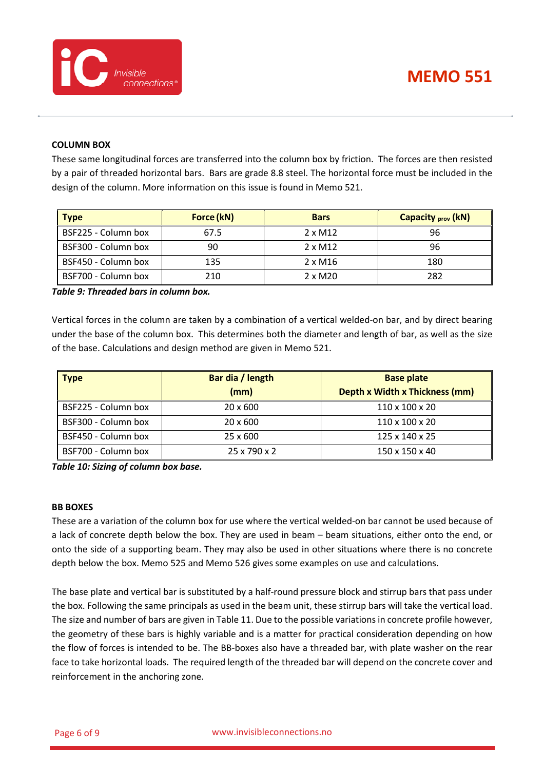

### **COLUMN BOX**

These same longitudinal forces are transferred into the column box by friction. The forces are then resisted by a pair of threaded horizontal bars. Bars are grade 8.8 steel. The horizontal force must be included in the design of the column. More information on this issue is found in Memo 521.

| <b>Type</b>         | Force (kN) | <b>Bars</b>    | <b>Capacity <sub>prov</sub> (kN)</b> |
|---------------------|------------|----------------|--------------------------------------|
| BSF225 - Column box | 67.5       | $2 \times M12$ | 96                                   |
| BSF300 - Column box | 90         | $2 \times M12$ | 96                                   |
| BSF450 - Column box | 135        | $2 \times M16$ | 180                                  |
| BSF700 - Column box | 210        | $2 \times M20$ | 282                                  |

*Table 9: Threaded bars in column box.*

Vertical forces in the column are taken by a combination of a vertical welded-on bar, and by direct bearing under the base of the column box. This determines both the diameter and length of bar, as well as the size of the base. Calculations and design method are given in Memo 521.

| <b>Type</b>         | Bar dia / length | <b>Base plate</b>                     |
|---------------------|------------------|---------------------------------------|
|                     | (mm)             | <b>Depth x Width x Thickness (mm)</b> |
| BSF225 - Column box | $20 \times 600$  | 110 x 100 x 20                        |
| BSF300 - Column box | 20 x 600         | 110 x 100 x 20                        |
| BSF450 - Column box | 25 x 600         | 125 x 140 x 25                        |
| BSF700 - Column box | 25 x 790 x 2     | 150 x 150 x 40                        |

*Table 10: Sizing of column box base.*

#### **BB BOXES**

These are a variation of the column box for use where the vertical welded-on bar cannot be used because of a lack of concrete depth below the box. They are used in beam – beam situations, either onto the end, or onto the side of a supporting beam. They may also be used in other situations where there is no concrete depth below the box. Memo 525 and Memo 526 gives some examples on use and calculations.

The base plate and vertical bar is substituted by a half-round pressure block and stirrup bars that pass under the box. Following the same principals as used in the beam unit, these stirrup bars will take the vertical load. The size and number of bars are given in [Table 11.](#page-6-0) Due to the possible variations in concrete profile however, the geometry of these bars is highly variable and is a matter for practical consideration depending on how the flow of forces is intended to be. The BB-boxes also have a threaded bar, with plate washer on the rear face to take horizontal loads. The required length of the threaded bar will depend on the concrete cover and reinforcement in the anchoring zone.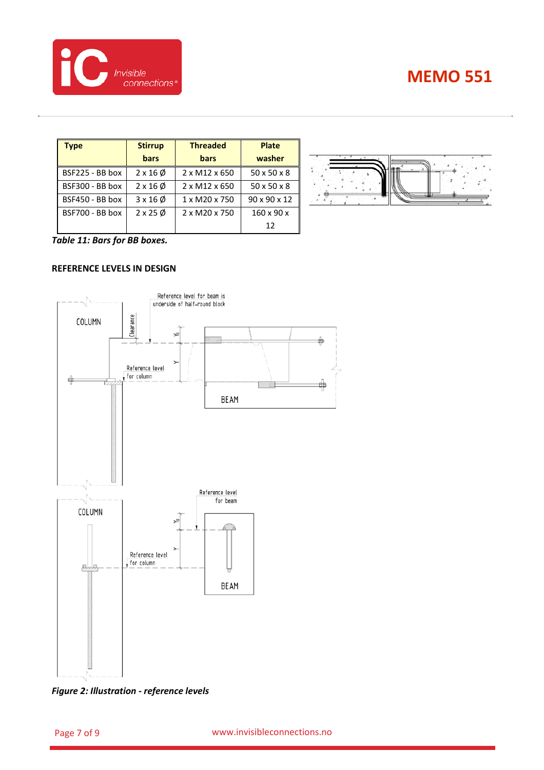

| Type            | <b>Stirrup</b>          | <b>Threaded</b> |                         |
|-----------------|-------------------------|-----------------|-------------------------|
|                 | bars                    | bars            | washer                  |
| BSF225 - BB box | $2 \times 16 \phi$      | 2 x M12 x 650   | $50 \times 50 \times 8$ |
| BSF300 - BB box | $2 \times 16 \phi$      | 2 x M12 x 650   | $50 \times 50 \times 8$ |
| BSF450 - BB box | $3 \times 16 \phi$      | 1 x M20 x 750   | 90 x 90 x 12            |
| BSF700 - BB box | $2 \times 25 \emptyset$ | 2 x M20 x 750   | $160 \times 90 \times$  |
|                 |                         |                 | 12                      |



<span id="page-6-0"></span>*Table 11: Bars for BB boxes.*

## **REFERENCE LEVELS IN DESIGN**



*Figure 2: Illustration - reference levels*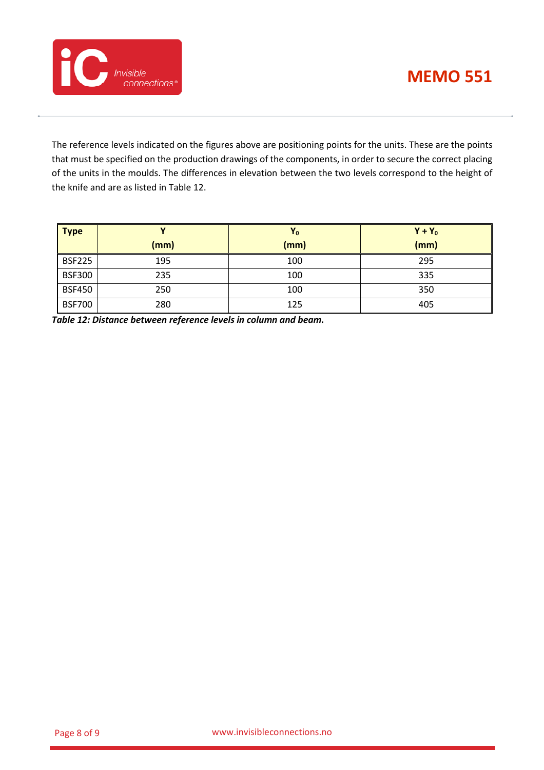



The reference levels indicated on the figures above are positioning points for the units. These are the points that must be specified on the production drawings of the components, in order to secure the correct placing of the units in the moulds. The differences in elevation between the two levels correspond to the height of the knife and are as listed i[n Table 12.](#page-7-0)

| <b>Type</b>   |      | Y <sub>0</sub> | $Y + Y_0$ |
|---------------|------|----------------|-----------|
|               | (mm) | (mm)           | (mm)      |
| <b>BSF225</b> | 195  | 100            | 295       |
| <b>BSF300</b> | 235  | 100            | 335       |
| <b>BSF450</b> | 250  | 100            | 350       |
| <b>BSF700</b> | 280  | 125            | 405       |

<span id="page-7-0"></span>*Table 12: Distance between reference levels in column and beam.*